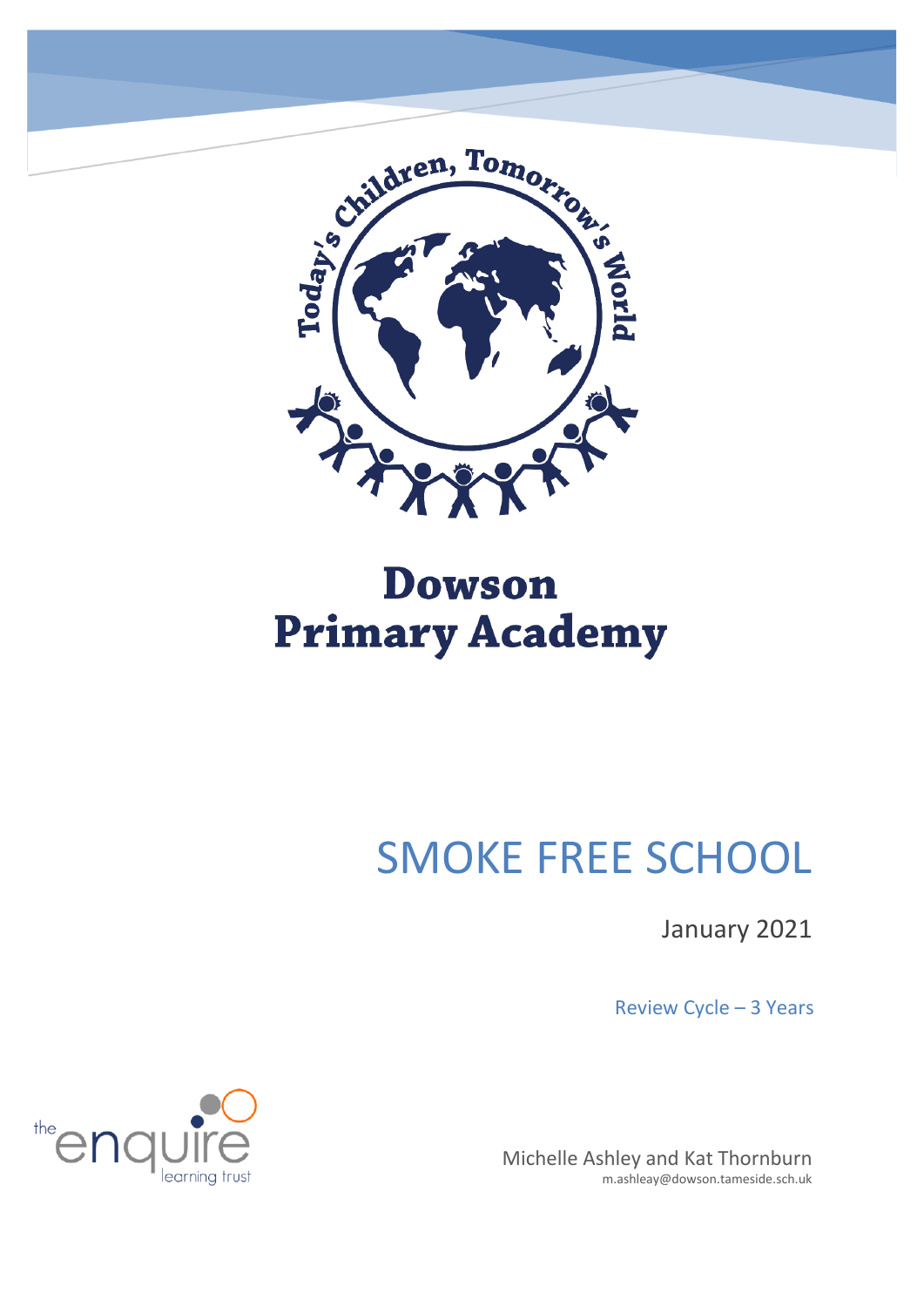

## **Dowson Primary Academy**

# SMOKE FREE SCHOOL

January 2021

Review Cycle – 3 Years

Michelle Ashley and Kat Thornburn m.ashleay@dowson.tameside.sch.uk

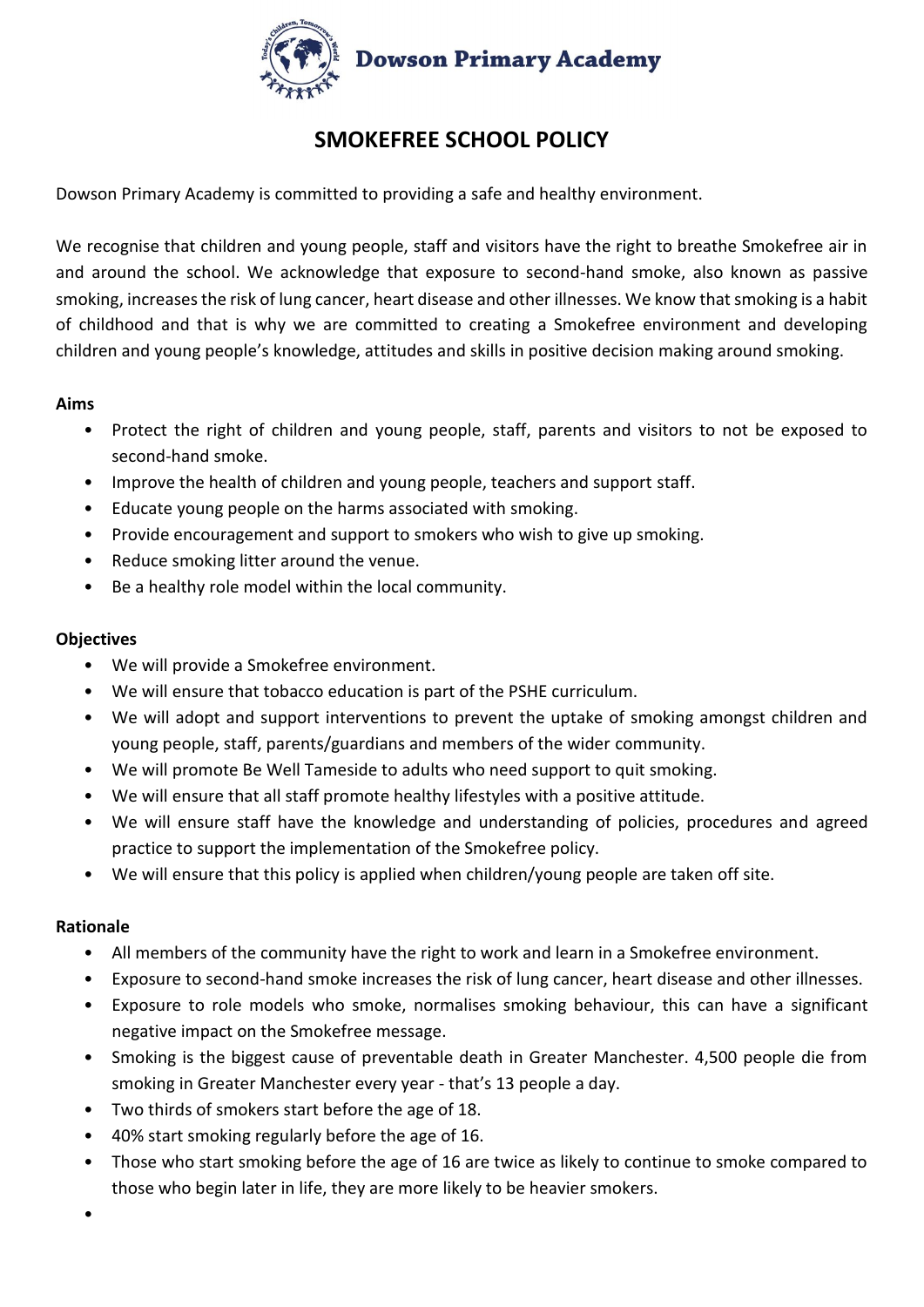

### **SMOKEFREE SCHOOL POLICY**

Dowson Primary Academy is committed to providing a safe and healthy environment.

We recognise that children and young people, staff and visitors have the right to breathe Smokefree air in and around the school. We acknowledge that exposure to second-hand smoke, also known as passive smoking, increases the risk of lung cancer, heart disease and other illnesses. We know that smoking is a habit of childhood and that is why we are committed to creating a Smokefree environment and developing children and young people's knowledge, attitudes and skills in positive decision making around smoking.

#### **Aims**

- Protect the right of children and young people, staff, parents and visitors to not be exposed to second-hand smoke.
- Improve the health of children and young people, teachers and support staff.
- Educate young people on the harms associated with smoking.
- Provide encouragement and support to smokers who wish to give up smoking.
- Reduce smoking litter around the venue.
- Be a healthy role model within the local community.

#### **Objectives**

- We will provide a Smokefree environment.
- We will ensure that tobacco education is part of the PSHE curriculum.
- We will adopt and support interventions to prevent the uptake of smoking amongst children and young people, staff, parents/guardians and members of the wider community.
- We will promote Be Well Tameside to adults who need support to quit smoking.
- We will ensure that all staff promote healthy lifestyles with a positive attitude.
- We will ensure staff have the knowledge and understanding of policies, procedures and agreed practice to support the implementation of the Smokefree policy.
- We will ensure that this policy is applied when children/young people are taken off site.

#### **Rationale**

- All members of the community have the right to work and learn in a Smokefree environment.
- Exposure to second-hand smoke increases the risk of lung cancer, heart disease and other illnesses.
- Exposure to role models who smoke, normalises smoking behaviour, this can have a significant negative impact on the Smokefree message.
- Smoking is the biggest cause of preventable death in Greater Manchester. 4,500 people die from smoking in Greater Manchester every year - that's 13 people a day.
- Two thirds of smokers start before the age of 18.
- 40% start smoking regularly before the age of 16.
- Those who start smoking before the age of 16 are twice as likely to continue to smoke compared to those who begin later in life, they are more likely to be heavier smokers.
- •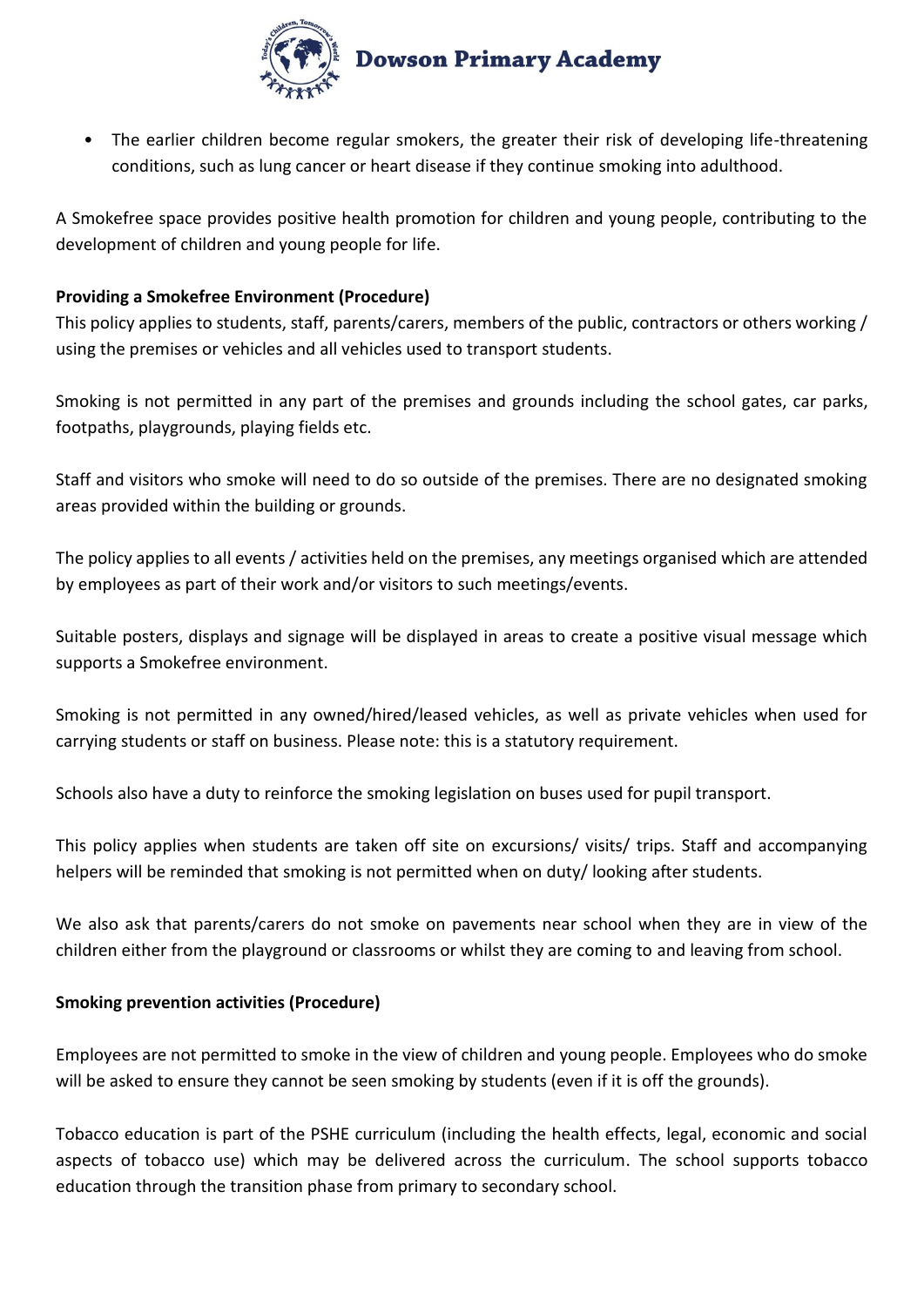

• The earlier children become regular smokers, the greater their risk of developing life-threatening conditions, such as lung cancer or heart disease if they continue smoking into adulthood.

A Smokefree space provides positive health promotion for children and young people, contributing to the development of children and young people for life.

#### **Providing a Smokefree Environment (Procedure)**

This policy applies to students, staff, parents/carers, members of the public, contractors or others working / using the premises or vehicles and all vehicles used to transport students.

Smoking is not permitted in any part of the premises and grounds including the school gates, car parks, footpaths, playgrounds, playing fields etc.

Staff and visitors who smoke will need to do so outside of the premises. There are no designated smoking areas provided within the building or grounds.

The policy applies to all events / activities held on the premises, any meetings organised which are attended by employees as part of their work and/or visitors to such meetings/events.

Suitable posters, displays and signage will be displayed in areas to create a positive visual message which supports a Smokefree environment.

Smoking is not permitted in any owned/hired/leased vehicles, as well as private vehicles when used for carrying students or staff on business. Please note: this is a statutory requirement.

Schools also have a duty to reinforce the smoking legislation on buses used for pupil transport.

This policy applies when students are taken off site on excursions/ visits/ trips. Staff and accompanying helpers will be reminded that smoking is not permitted when on duty/ looking after students.

We also ask that parents/carers do not smoke on pavements near school when they are in view of the children either from the playground or classrooms or whilst they are coming to and leaving from school.

#### **Smoking prevention activities (Procedure)**

Employees are not permitted to smoke in the view of children and young people. Employees who do smoke will be asked to ensure they cannot be seen smoking by students (even if it is off the grounds).

Tobacco education is part of the PSHE curriculum (including the health effects, legal, economic and social aspects of tobacco use) which may be delivered across the curriculum. The school supports tobacco education through the transition phase from primary to secondary school.